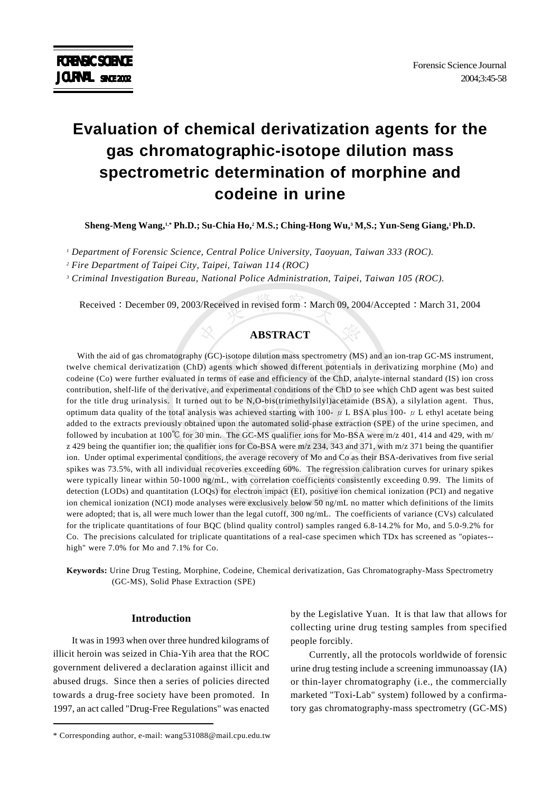# **Evaluation of chemical derivatization agents for the gas chromatographic-isotope dilution mass spectrometric determination of morphine and codeine in urine**

**Sheng-Meng Wang,1,\* Ph.D.; Su-Chia Ho,2 M.S.; Ching-Hong Wu,3 M,S.; Yun-Seng Giang,1 Ph.D.**

*1 Department of Forensic Science, Central Police University, Taoyuan, Taiwan 333 (ROC).*

*2 Fire Department of Taipei City, Taipei, Taiwan 114 (ROC)*

*3 Criminal Investigation Bureau, National Police Administration, Taipei, Taiwan 105 (ROC).*

Received : December 09, 2003/Received in revised form : March 09, 2004/Accepted : March 31, 2004

### **ABSTRACT**

With the aid of gas chromatography (GC)-isotope dilution mass spectrometry (MS) and an ion-trap GC-MS instrument, twelve chemical derivatization (ChD) agents which showed different potentials in derivatizing morphine (Mo) and codeine (Co) were further evaluated in terms of ease and efficiency of the ChD, analyte-internal standard (IS) ion cross contribution, shelf-life of the derivative, and experimental conditions of the ChD to see which ChD agent was best suited for the title drug urinalysis. It turned out to be N,O-bis(trimethylsilyl)acetamide (BSA), a silylation agent. Thus, optimum data quality of the total analysis was achieved starting with 100-  $\mu$  L BSA plus 100-  $\mu$  L ethyl acetate being added to the extracts previously obtained upon the automated solid-phase extraction (SPE) of the urine specimen, and followed by incubation at 100 $^{\circ}$ C for 30 min. The GC-MS qualifier ions for Mo-BSA were m/z 401, 414 and 429, with m/ z 429 being the quantifier ion; the qualifier ions for Co-BSA were m/z 234, 343 and 371, with m/z 371 being the quantifier ion. Under optimal experimental conditions, the average recovery of Mo and Co as their BSA-derivatives from five serial spikes was 73.5%, with all individual recoveries exceeding 60%. The regression calibration curves for urinary spikes were typically linear within 50-1000 ng/mL, with correlation coefficients consistently exceeding 0.99. The limits of detection (LODs) and quantitation (LOQs) for electron impact (EI), positive ion chemical ionization (PCI) and negative ion chemical ionization (NCI) mode analyses were exclusively below 50 ng/mL no matter which definitions of the limits were adopted; that is, all were much lower than the legal cutoff, 300 ng/mL. The coefficients of variance (CVs) calculated for the triplicate quantitations of four BQC (blind quality control) samples ranged 6.8-14.2% for Mo, and 5.0-9.2% for Co. The precisions calculated for triplicate quantitations of a real-case specimen which TDx has screened as "opiates- high" were 7.0% for Mo and 7.1% for Co.

**Keywords:** Urine Drug Testing, Morphine, Codeine, Chemical derivatization, Gas Chromatography-Mass Spectrometry (GC-MS), Solid Phase Extraction (SPE)

### **Introduction**

It was in 1993 when over three hundred kilograms of illicit heroin was seized in Chia-Yih area that the ROC government delivered a declaration against illicit and abused drugs. Since then a series of policies directed towards a drug-free society have been promoted. In 1997, an act called "Drug-Free Regulations" was enacted by the Legislative Yuan. It is that law that allows for collecting urine drug testing samples from specified people forcibly.

Currently, all the protocols worldwide of forensic urine drug testing include a screening immunoassay (IA) or thin-layer chromatography (i.e., the commercially marketed "Toxi-Lab" system) followed by a confirmatory gas chromatography-mass spectrometry (GC-MS)

<sup>\*</sup> Corresponding author, e-mail: wang531088@mail.cpu.edu.tw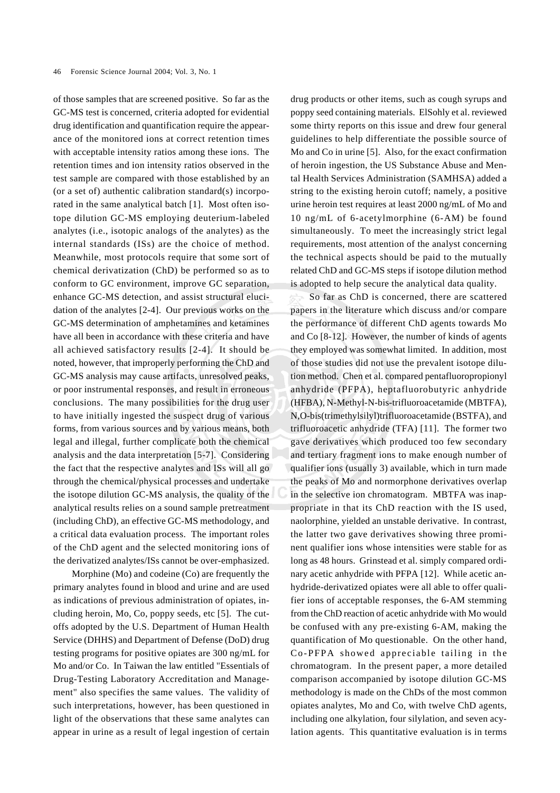of those samples that are screened positive. So far as the GC-MS test is concerned, criteria adopted for evidential drug identification and quantification require the appearance of the monitored ions at correct retention times with acceptable intensity ratios among these ions. The retention times and ion intensity ratios observed in the test sample are compared with those established by an (or a set of) authentic calibration standard(s) incorporated in the same analytical batch [1]. Most often isotope dilution GC-MS employing deuterium-labeled analytes (i.e., isotopic analogs of the analytes) as the internal standards (ISs) are the choice of method. Meanwhile, most protocols require that some sort of chemical derivatization (ChD) be performed so as to conform to GC environment, improve GC separation, enhance GC-MS detection, and assist structural elucidation of the analytes [2-4]. Our previous works on the GC-MS determination of amphetamines and ketamines have all been in accordance with these criteria and have all achieved satisfactory results [2-4]. It should be noted, however, that improperly performing the ChD and GC-MS analysis may cause artifacts, unresolved peaks, or poor instrumental responses, and result in erroneous conclusions. The many possibilities for the drug user to have initially ingested the suspect drug of various forms, from various sources and by various means, both legal and illegal, further complicate both the chemical analysis and the data interpretation [5-7]. Considering the fact that the respective analytes and ISs will all go through the chemical/physical processes and undertake the isotope dilution GC-MS analysis, the quality of the analytical results relies on a sound sample pretreatment (including ChD), an effective GC-MS methodology, and a critical data evaluation process. The important roles of the ChD agent and the selected monitoring ions of the derivatized analytes/ISs cannot be over-emphasized.

Morphine (Mo) and codeine (Co) are frequently the primary analytes found in blood and urine and are used as indications of previous administration of opiates, including heroin, Mo, Co, poppy seeds, etc [5]. The cutoffs adopted by the U.S. Department of Human Health Service (DHHS) and Department of Defense (DoD) drug testing programs for positive opiates are 300 ng/mL for Mo and/or Co. In Taiwan the law entitled "Essentials of Drug-Testing Laboratory Accreditation and Management" also specifies the same values. The validity of such interpretations, however, has been questioned in light of the observations that these same analytes can appear in urine as a result of legal ingestion of certain drug products or other items, such as cough syrups and poppy seed containing materials. ElSohly et al. reviewed some thirty reports on this issue and drew four general guidelines to help differentiate the possible source of Mo and Co in urine [5]. Also, for the exact confirmation of heroin ingestion, the US Substance Abuse and Mental Health Services Administration (SAMHSA) added a string to the existing heroin cutoff; namely, a positive urine heroin test requires at least 2000 ng/mL of Mo and 10 ng/mL of 6-acetylmorphine (6-AM) be found simultaneously. To meet the increasingly strict legal requirements, most attention of the analyst concerning the technical aspects should be paid to the mutually related ChD and GC-MS steps if isotope dilution method is adopted to help secure the analytical data quality.

So far as ChD is concerned, there are scattered papers in the literature which discuss and/or compare the performance of different ChD agents towards Mo and Co [8-12]. However, the number of kinds of agents they employed was somewhat limited. In addition, most of those studies did not use the prevalent isotope dilution method. Chen et al. compared pentafluoropropionyl anhydride (PFPA), heptafluorobutyric anhydride (HFBA), N-Methyl-N-bis-trifluoroacetamide (MBTFA), N,O-bis(trimethylsilyl)trifluoroacetamide (BSTFA), and trifluoroacetic anhydride (TFA) [11]. The former two gave derivatives which produced too few secondary and tertiary fragment ions to make enough number of qualifier ions (usually 3) available, which in turn made the peaks of Mo and normorphone derivatives overlap in the selective ion chromatogram. MBTFA was inappropriate in that its ChD reaction with the IS used, naolorphine, yielded an unstable derivative. In contrast, the latter two gave derivatives showing three prominent qualifier ions whose intensities were stable for as long as 48 hours. Grinstead et al. simply compared ordinary acetic anhydride with PFPA [12]. While acetic anhydride-derivatized opiates were all able to offer qualifier ions of acceptable responses, the 6-AM stemming from the ChD reaction of acetic anhydride with Mo would be confused with any pre-existing 6-AM, making the quantification of Mo questionable. On the other hand, Co-PFPA showed appreciable tailing in the chromatogram. In the present paper, a more detailed comparison accompanied by isotope dilution GC-MS methodology is made on the ChDs of the most common opiates analytes, Mo and Co, with twelve ChD agents, including one alkylation, four silylation, and seven acylation agents. This quantitative evaluation is in terms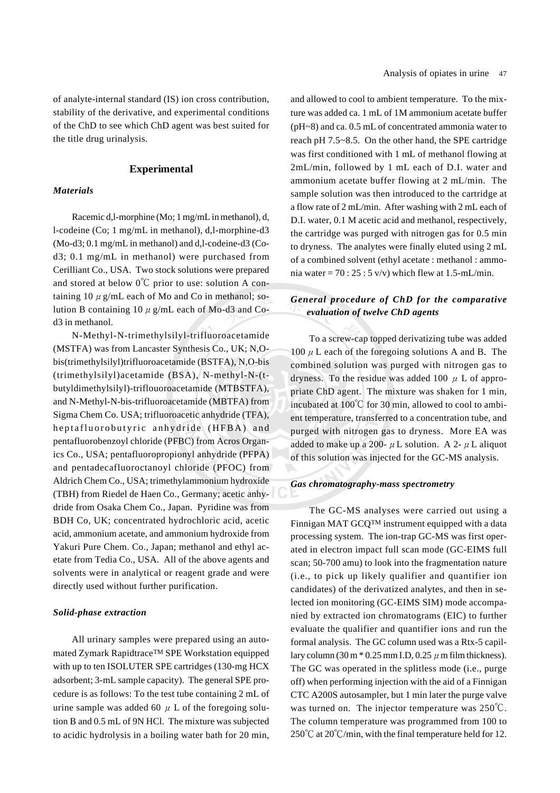of analyte-internal standard (IS) ion cross contribution, stability of the derivative, and experimental conditions of the ChD to see which ChD agent was best suited for the title drug urinalysis.

### **Experimental**

### *Materials*

Racemic d,l-morphine (Mo; 1 mg/mL in methanol), d, l-codeine (Co; 1 mg/mL in methanol), d,l-morphine-d3 (Mo-d3; 0.1 mg/mL in methanol) and d,l-codeine-d3 (Cod3; 0.1 mg/mL in methanol) were purchased from Cerilliant Co., USA. Two stock solutions were prepared and stored at below  $0^{\circ}$ C prior to use: solution A containing 10  $\mu$  g/mL each of Mo and Co in methanol; solution B containing 10  $\mu$  g/mL each of Mo-d3 and Cod3 in methanol.

N-Methyl-N-trimethylsilyl-trifluoroacetamide (MSTFA) was from Lancaster Synthesis Co., UK; N,Obis(trimethylsilyl)trifluoroacetamide (BSTFA), N,O-bis (trimethylsilyl)acetamide (BSA), N-methyl-N-(tbutyldimethylsilyl)-triflouoroacetamide (MTBSTFA), and N-Methyl-N-bis-trifluoroacetamide (MBTFA) from Sigma Chem Co. USA; trifluoroacetic anhydride (TFA), heptafluorobutyric anhydride (HFBA) and pentafluorobenzoyl chloride (PFBC) from Acros Organics Co., USA; pentafluoropropionyl anhydride (PFPA) and pentadecafluoroctanoyl chloride (PFOC) from Aldrich Chem Co., USA; trimethylammonium hydroxide (TBH) from Riedel de Haen Co., Germany; acetic anhydride from Osaka Chem Co., Japan. Pyridine was from BDH Co, UK; concentrated hydrochloric acid, acetic acid, ammonium acetate, and ammonium hydroxide from Yakuri Pure Chem. Co., Japan; methanol and ethyl acetate from Tedia Co., USA. All of the above agents and solvents were in analytical or reagent grade and were directly used without further purification.

### *Solid-phase extraction*

All urinary samples were prepared using an automated Zymark RapidtraceTM SPE Workstation equipped with up to ten ISOLUTER SPE cartridges (130-mg HCX adsorbent; 3-mL sample capacity). The general SPE procedure is as follows: To the test tube containing 2 mL of urine sample was added 60  $\mu$  L of the foregoing solution B and 0.5 mL of 9N HCl. The mixture was subjected to acidic hydrolysis in a boiling water bath for 20 min, and allowed to cool to ambient temperature. To the mixture was added ca. 1 mL of 1M ammonium acetate buffer (pH~8) and ca. 0.5 mL of concentrated ammonia water to reach pH 7.5~8.5. On the other hand, the SPE cartridge was first conditioned with 1 mL of methanol flowing at 2mL/min, followed by 1 mL each of D.I. water and ammonium acetate buffer flowing at 2 mL/min. The sample solution was then introduced to the cartridge at a flow rate of 2 mL/min. After washing with 2 mL each of D.I. water, 0.1 M acetic acid and methanol, respectively, the cartridge was purged with nitrogen gas for 0.5 min to dryness. The analytes were finally eluted using 2 mL of a combined solvent (ethyl acetate : methanol : ammonia water =  $70:25:5$  v/v) which flew at 1.5-mL/min.

# *General procedure of ChD for the comparative evaluation of twelve ChD agents*

To a screw-cap topped derivatizing tube was added 100  $\mu$  L each of the foregoing solutions A and B. The combined solution was purged with nitrogen gas to dryness. To the residue was added 100  $\mu$  L of appropriate ChD agent. The mixture was shaken for 1 min, incubated at  $100^{\circ}$ C for 30 min, allowed to cool to ambient temperature, transferred to a concentration tube, and purged with nitrogen gas to dryness. More EA was added to make up a 200-  $\mu$  L solution. A 2-  $\mu$  L aliquot of this solution was injected for the GC-MS analysis.

### *Gas chromatography-mass spectrometry*

The GC-MS analyses were carried out using a Finnigan MAT GCQTM instrument equipped with a data processing system. The ion-trap GC-MS was first operated in electron impact full scan mode (GC-EIMS full scan; 50-700 amu) to look into the fragmentation nature (i.e., to pick up likely qualifier and quantifier ion candidates) of the derivatized analytes, and then in selected ion monitoring (GC-EIMS SIM) mode accompanied by extracted ion chromatograms (EIC) to further evaluate the qualifier and quantifier ions and run the formal analysis. The GC column used was a Rtx-5 capillary column  $(30 \text{ m} * 0.25 \text{ mm} \text{ L} \text{D}, 0.25 \mu \text{ m} \text{ film thickness}).$ The GC was operated in the splitless mode (i.e., purge off) when performing injection with the aid of a Finnigan CTC A200S autosampler, but 1 min later the purge valve was turned on. The injector temperature was  $250^{\circ}$ C. The column temperature was programmed from 100 to  $250^{\circ}$ C at  $20^{\circ}$ C/min, with the final temperature held for 12.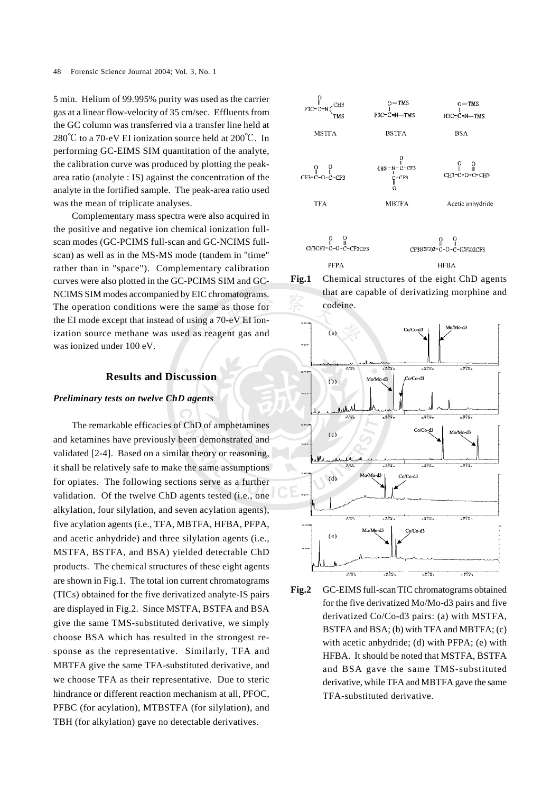5 min. Helium of 99.995% purity was used as the carrier gas at a linear flow-velocity of 35 cm/sec. Effluents from the GC column was transferred via a transfer line held at  $280^{\circ}$ C to a 70-eV EI ionization source held at  $200^{\circ}$ C. In performing GC-EIMS SIM quantitation of the analyte, the calibration curve was produced by plotting the peakarea ratio (analyte : IS) against the concentration of the analyte in the fortified sample. The peak-area ratio used was the mean of triplicate analyses.

Complementary mass spectra were also acquired in the positive and negative ion chemical ionization fullscan modes (GC-PCIMS full-scan and GC-NCIMS fullscan) as well as in the MS-MS mode (tandem in "time" rather than in "space"). Complementary calibration curves were also plotted in the GC-PCIMS SIM and GC-NCIMS SIM modes accompanied by EIC chromatograms. The operation conditions were the same as those for the EI mode except that instead of using a 70-eV EI ionization source methane was used as reagent gas and was ionized under 100 eV.

### **Results and Discussion**

### *Preliminary tests on twelve ChD agents*

The remarkable efficacies of ChD of amphetamines and ketamines have previously been demonstrated and validated [2-4]. Based on a similar theory or reasoning, it shall be relatively safe to make the same assumptions for opiates. The following sections serve as a further validation. Of the twelve ChD agents tested (i.e., one alkylation, four silylation, and seven acylation agents), five acylation agents (i.e., TFA, MBTFA, HFBA, PFPA, and acetic anhydride) and three silylation agents (i.e., MSTFA, BSTFA, and BSA) yielded detectable ChD products. The chemical structures of these eight agents are shown in Fig.1. The total ion current chromatograms (TICs) obtained for the five derivatized analyte-IS pairs are displayed in Fig.2. Since MSTFA, BSTFA and BSA give the same TMS-substituted derivative, we simply choose BSA which has resulted in the strongest response as the representative. Similarly, TFA and MBTFA give the same TFA-substituted derivative, and we choose TFA as their representative. Due to steric hindrance or different reaction mechanism at all, PFOC, PFBC (for acylation), MTBSTFA (for silylation), and TBH (for alkylation) gave no detectable derivatives.









**Fig.2** GC-EIMS full-scan TIC chromatograms obtained for the five derivatized Mo/Mo-d3 pairs and five derivatized Co/Co-d3 pairs: (a) with MSTFA, BSTFA and BSA; (b) with TFA and MBTFA; (c) with acetic anhydride; (d) with PFPA; (e) with HFBA. It should be noted that MSTFA, BSTFA and BSA gave the same TMS-substituted derivative, while TFA and MBTFA gave the same TFA-substituted derivative.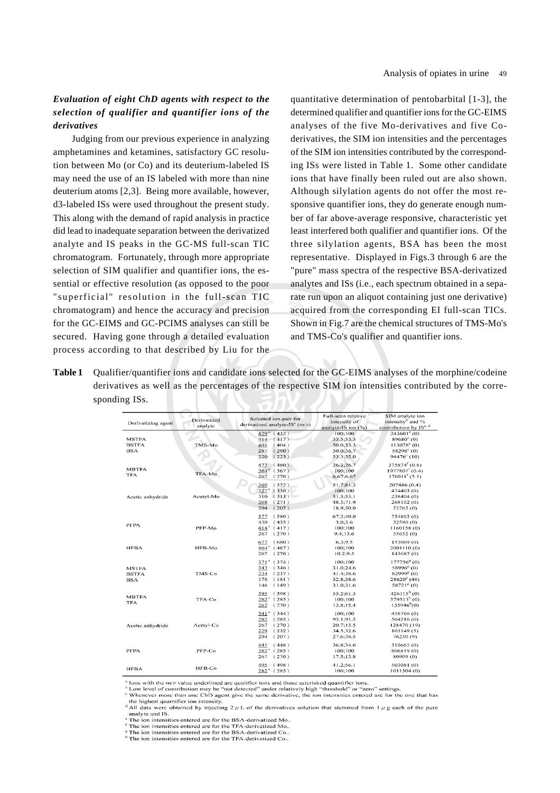# *Evaluation of eight ChD agents with respect to the selection of qualifier and quantifier ions of the derivatives*

Judging from our previous experience in analyzing amphetamines and ketamines, satisfactory GC resolution between Mo (or Co) and its deuterium-labeled IS may need the use of an IS labeled with more than nine deuterium atoms [2,3]. Being more available, however, d3-labeled ISs were used throughout the present study. This along with the demand of rapid analysis in practice did lead to inadequate separation between the derivatized analyte and IS peaks in the GC-MS full-scan TIC chromatogram. Fortunately, through more appropriate selection of SIM qualifier and quantifier ions, the essential or effective resolution (as opposed to the poor "superficial" resolution in the full-scan TIC chromatogram) and hence the accuracy and precision for the GC-EIMS and GC-PCIMS analyses can still be secured. Having gone through a detailed evaluation process according to that described by Liu for the

quantitative determination of pentobarbital [1-3], the determined qualifier and quantifier ions for the GC-EIMS analyses of the five Mo-derivatives and five Coderivatives, the SIM ion intensities and the percentages of the SIM ion intensities contributed by the corresponding ISs were listed in Table 1. Some other candidate ions that have finally been ruled out are also shown. Although silylation agents do not offer the most responsive quantifier ions, they do generate enough number of far above-average responsive, characteristic yet least interfered both qualifier and quantifier ions. Of the three silylation agents, BSA has been the most representative. Displayed in Figs.3 through 6 are the "pure" mass spectra of the respective BSA-derivatized analytes and ISs (i.e., each spectrum obtained in a separate run upon an aliquot containing just one derivative) acquired from the corresponding EI full-scan TICs. Shown in Fig.7 are the chemical structures of TMS-Mo's and TMS-Co's qualifier and quantifier ions.

**Table 1** Qualifier/quantifier ions and candidate ions selected for the GC-EIMS analyses of the morphine/codeine derivatives as well as the percentages of the respective SIM ion intensities contributed by the corresponding ISs.

| Derivatizing agent                         | Derivatized<br>analyte | Selected ion-pair for<br>derivatized analyte-IS" (m/z)                        | Full-scan relative<br>intensity of<br>analyte-IS ion (%)    | SIM analyte ion<br>intensity <sup>b</sup> and %<br>contribution by ISc, d                                  |
|--------------------------------------------|------------------------|-------------------------------------------------------------------------------|-------------------------------------------------------------|------------------------------------------------------------------------------------------------------------|
| <b>MSTFA</b><br><b>BSTFA</b><br><b>BSA</b> | TMS-Mo                 | $429* (432)$<br>(417)<br>414<br>401<br>(404)<br>287<br>(290)<br>220<br>(223)  | 100:100<br>33.5;33.5<br>50.0:53.3<br>30.0:36.7<br>53.3:55.0 | $243601^{\circ}$ (0)<br>89680° (0)<br>$113078°$ (0)<br>$58298^{\circ}$ (0)<br>$94476^{\circ}$ (10)         |
| <b>MBTFA</b><br><b>TFA</b>                 | TFA-Mo                 | (480)<br>477<br>$364^*$ (367)<br>(270)<br>267                                 | 26.3:26.7<br>100;100<br>6.67:6.67                           | 375874 <sup>f</sup> (0.8)<br>$1977807^{f}$ (0.4)<br>$176011^{f}(5.1)$                                      |
| Acetic anhydride                           | Acetyl-Mo              | (372)<br>369<br>$327*$ (330)<br>310(313)<br>268<br>(271)<br>(207)<br>204      | 51.7:81.3<br>100;100<br>51.5;53.1<br>48.3:71.9<br>18.9:50.0 | 207486 (0.4)<br>474403 (0)<br>238404 (0)<br>268102 (0)<br>53265 (0)                                        |
| PFPA                                       | PFP-Mo                 | (580)<br>577<br>430<br>(433)<br>$414^*$ (417)<br>(270)<br>267                 | 67.2:40.0<br>3.0;3.6<br>100:100<br>9.4:13.6                 | 754803 (0)<br>32580 (0)<br>1160158 (0)<br>55652 (0)                                                        |
| <b>HFBA</b>                                | HFB-Mo                 | (680)<br>677<br>$464^*$ (467)<br>267<br>(270)                                 | 6.3:9.5<br>100:100<br>10.2;9.5                              | 153009 (0)<br>2001110 (0)<br>143687 (0)                                                                    |
| <b>MSTFA</b><br><b>BSTFA</b><br><b>BSA</b> | TMS-Co                 | $371^* (374)$<br>343<br>(346)<br>234<br>(237)<br>(181)<br>178<br>(149)<br>146 | 100:100<br>31.0;24.6<br>41.4:38.6<br>32.8;38.6<br>31.0:31.6 | $177756^{8}$ (0)<br>58996 <sup>8</sup> (0)<br>82999 <sup>8</sup> (0)<br>$28620^{8}$ (46)<br>$58721^{8}(0)$ |
| <b>MBTFA</b><br>TFA                        | TFA-Co                 | (398)<br>395<br>$282^*$ (285)<br>267<br>(270)                                 | 55.2:61.5<br>100:100<br>13.8:15.4                           | $426115h$ (0)<br>579513 <sup>h</sup> (0)<br>135946 <sup>h</sup> (0)                                        |
| Acetic anhydride                           | Acetyl-Co              | $341* (344)$<br>(285)<br>282<br>(270)<br>267<br>(232)<br>229<br>(207)<br>204  | 100:100<br>93.1;91.5<br>20.7:13.5<br>34.5:32.6<br>27.6;36.5 | 458766 (0)<br>504216(0)<br>128470 (19)<br>103149(5)<br>76230 (9)                                           |
| <b>PFPA</b>                                | PFP-Co                 | 445<br>(448)<br>$282^* (285)$<br>(270)<br>267                                 | 36.8:34.6<br>100;100<br>17.5:13.8                           | 310665 (0)<br>806819 (0)<br>80909 (0)                                                                      |
| <b>HFBA</b>                                | HFB-Co                 | (498)<br>495<br>$282^*$ (285)                                                 | 41.2;56.1<br>100:100                                        | 503081 (0)<br>1011304 (0)                                                                                  |

lons with the m/z value underlined are qualifier ions and those asterisked quantifier ions.

For the matter of contribution may be "not detected" under relatively high "threshold" or "zero" settings.<br><sup>2</sup> Low level of contribution may be "not detected" under relatively high "threshold" or "zero" settings.<br><sup>2</sup> When the highest quantifier ion intensity <sup>d</sup> All data were obtained by injecting  $2 \mu L$  of the derivatives solution that stemmed from  $1 \mu g$  each of the pure

analyte and IS The ion intensities entered are for the BSA-derivatized Mo..

<sup>f</sup> The ion intensities entered are for the TFA-derivatized Mo.

The ion intensities entered are for the BSA-derivatized Co.

 $\frac{1}{n}$ . The form tensities entered are for the BBA-derivatized Co...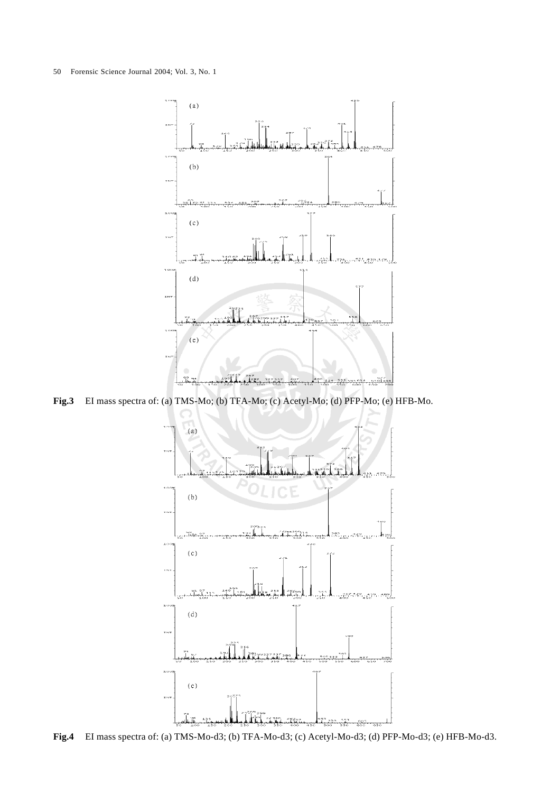

**Fig.3** EI mass spectra of: (a) TMS-Mo; (b) TFA-Mo; (c) Acetyl-Mo; (d) PFP-Mo; (e) HFB-Mo.



**Fig.4** EI mass spectra of: (a) TMS-Mo-d3; (b) TFA-Mo-d3; (c) Acetyl-Mo-d3; (d) PFP-Mo-d3; (e) HFB-Mo-d3.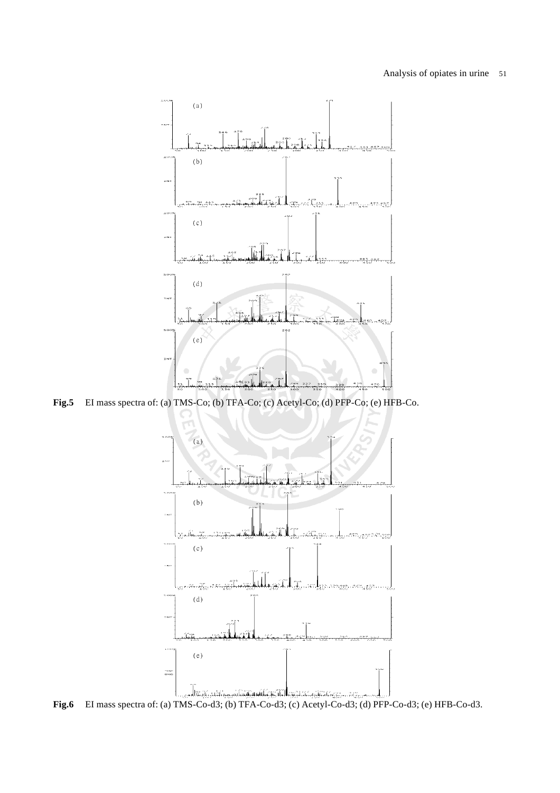

**Fig.5** EI mass spectra of: (a) TMS-Co; (b) TFA-Co; (c) Acetyl-Co; (d) PFP-Co; (e) HFB-Co.



**Fig.6** EI mass spectra of: (a) TMS-Co-d3; (b) TFA-Co-d3; (c) Acetyl-Co-d3; (d) PFP-Co-d3; (e) HFB-Co-d3.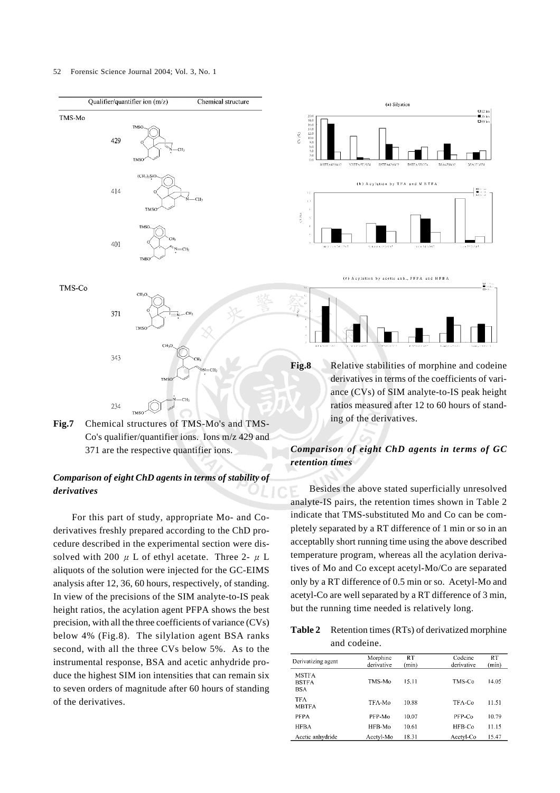#### 52 Forensic Science Journal 2004; Vol. 3, No. 1







# *Comparison of eight ChD agents in terms of stability of derivatives*

For this part of study, appropriate Mo- and Coderivatives freshly prepared according to the ChD procedure described in the experimental section were dissolved with 200  $\mu$  L of ethyl acetate. Three 2-  $\mu$  L aliquots of the solution were injected for the GC-EIMS analysis after 12, 36, 60 hours, respectively, of standing. In view of the precisions of the SIM analyte-to-IS peak height ratios, the acylation agent PFPA shows the best precision, with all the three coefficients of variance (CVs) below 4% (Fig.8). The silylation agent BSA ranks second, with all the three CVs below 5%. As to the instrumental response, BSA and acetic anhydride produce the highest SIM ion intensities that can remain six to seven orders of magnitude after 60 hours of standing of the derivatives.



(c) Acylation by acetic anh., PFPA and HFBA

**Fig.8** Relative stabilities of morphine and codeine derivatives in terms of the coefficients of variance (CVs) of SIM analyte-to-IS peak height ratios measured after 12 to 60 hours of standing of the derivatives.

# *Comparison of eight ChD agents in terms of GC retention times*

Besides the above stated superficially unresolved analyte-IS pairs, the retention times shown in Table 2 indicate that TMS-substituted Mo and Co can be completely separated by a RT difference of 1 min or so in an acceptablly short running time using the above described temperature program, whereas all the acylation derivatives of Mo and Co except acetyl-Mo/Co are separated only by a RT difference of 0.5 min or so. Acetyl-Mo and acetyl-Co are well separated by a RT difference of 3 min, but the running time needed is relatively long.

**Table 2** Retention times (RTs) of derivatized morphine and codeine.

| Derivatizing agent                         | Morphine<br>derivative | <b>RT</b><br>(min) | Codeine<br>derivative | <b>RT</b><br>(min) |
|--------------------------------------------|------------------------|--------------------|-----------------------|--------------------|
| <b>MSTFA</b><br><b>BSTFA</b><br><b>BSA</b> | TMS-Mo                 | 15.11              | TMS-Co                | 14.05              |
| <b>TFA</b><br><b>MBTFA</b>                 | TFA-Mo                 | 10.88              | TFA-Co                | 11.51              |
| <b>PFPA</b>                                | PFP-Mo                 | 10.07              | PFP-Co                | 10.79              |
| <b>HFBA</b>                                | HFB-Mo                 | 10.61              | $HFB-C0$              | 11.15              |
| Acetic anhydride                           | Acctyl-Mo              | 18.31              | Acetyl-Co             | 15.47              |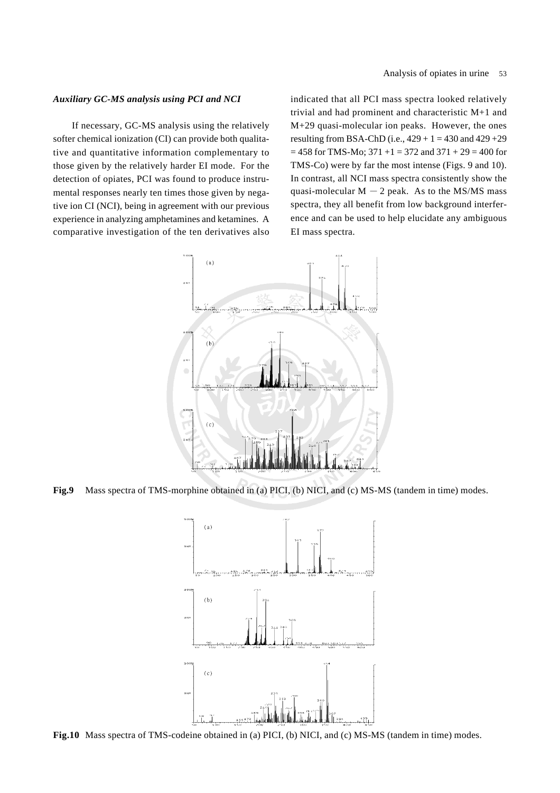### *Auxiliary GC-MS analysis using PCI and NCI*

If necessary, GC-MS analysis using the relatively softer chemical ionization (CI) can provide both qualitative and quantitative information complementary to those given by the relatively harder EI mode. For the detection of opiates, PCI was found to produce instrumental responses nearly ten times those given by negative ion CI (NCI), being in agreement with our previous experience in analyzing amphetamines and ketamines. A comparative investigation of the ten derivatives also

indicated that all PCI mass spectra looked relatively trivial and had prominent and characteristic M+1 and M+29 quasi-molecular ion peaks. However, the ones resulting from BSA-ChD (i.e.,  $429 + 1 = 430$  and  $429 + 29$ )  $= 458$  for TMS-Mo; 371 +1 = 372 and 371 + 29 = 400 for TMS-Co) were by far the most intense (Figs. 9 and 10). In contrast, all NCI mass spectra consistently show the quasi-molecular  $M - 2$  peak. As to the MS/MS mass spectra, they all benefit from low background interference and can be used to help elucidate any ambiguous EI mass spectra.



**Fig.9** Mass spectra of TMS-morphine obtained in (a) PICI, (b) NICI, and (c) MS-MS (tandem in time) modes.



**Fig.10** Mass spectra of TMS-codeine obtained in (a) PICI, (b) NICI, and (c) MS-MS (tandem in time) modes.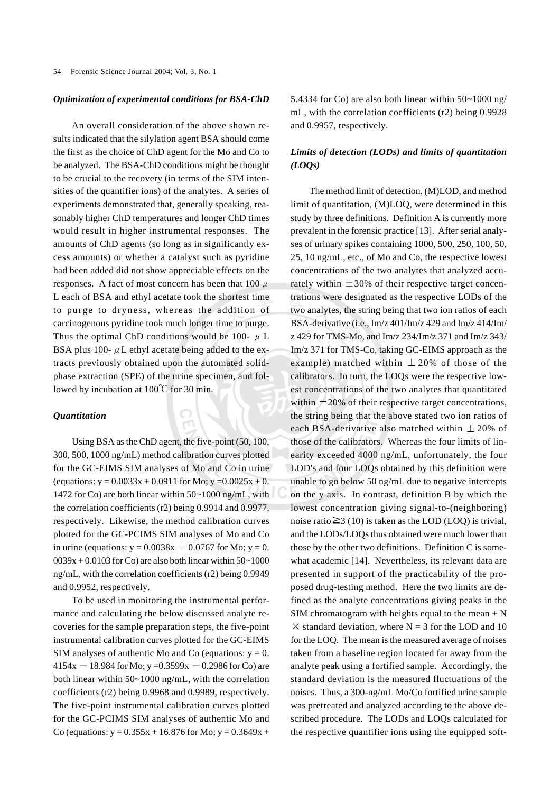#### *Optimization of experimental conditions for BSA-ChD*

An overall consideration of the above shown results indicated that the silylation agent BSA should come the first as the choice of ChD agent for the Mo and Co to be analyzed. The BSA-ChD conditions might be thought to be crucial to the recovery (in terms of the SIM intensities of the quantifier ions) of the analytes. A series of experiments demonstrated that, generally speaking, reasonably higher ChD temperatures and longer ChD times would result in higher instrumental responses. The amounts of ChD agents (so long as in significantly excess amounts) or whether a catalyst such as pyridine had been added did not show appreciable effects on the responses. A fact of most concern has been that  $100 \mu$ L each of BSA and ethyl acetate took the shortest time to purge to dryness, whereas the addition of carcinogenous pyridine took much longer time to purge. Thus the optimal ChD conditions would be 100-  $\mu$  L BSA plus 100- $\mu$  L ethyl acetate being added to the extracts previously obtained upon the automated solidphase extraction (SPE) of the urine specimen, and followed by incubation at  $100^{\circ}$ C for 30 min.

#### *Quantitation*

Using BSA as the ChD agent, the five-point (50, 100, 300, 500, 1000 ng/mL) method calibration curves plotted for the GC-EIMS SIM analyses of Mo and Co in urine (equations:  $y = 0.0033x + 0.0911$  for Mo;  $y = 0.0025x + 0$ . 1472 for Co) are both linear within 50~1000 ng/mL, with the correlation coefficients (r2) being 0.9914 and 0.9977, respectively. Likewise, the method calibration curves plotted for the GC-PCIMS SIM analyses of Mo and Co in urine (equations:  $y = 0.0038x - 0.0767$  for Mo;  $y = 0$ .  $0.039x + 0.0103$  for Co) are also both linear within  $50~1000$ ng/mL, with the correlation coefficients (r2) being 0.9949 and 0.9952, respectively.

To be used in monitoring the instrumental performance and calculating the below discussed analyte recoveries for the sample preparation steps, the five-point instrumental calibration curves plotted for the GC-EIMS SIM analyses of authentic Mo and Co (equations:  $y = 0$ .  $4154x - 18.984$  for Mo; y =0.3599x - 0.2986 for Co) are both linear within 50~1000 ng/mL, with the correlation coefficients (r2) being 0.9968 and 0.9989, respectively. The five-point instrumental calibration curves plotted for the GC-PCIMS SIM analyses of authentic Mo and Co (equations:  $y = 0.355x + 16.876$  for Mo;  $y = 0.3649x +$  5.4334 for Co) are also both linear within 50~1000 ng/ mL, with the correlation coefficients (r2) being 0.9928 and 0.9957, respectively.

# *Limits of detection (LODs) and limits of quantitation (LOQs)*

The method limit of detection, (M)LOD, and method limit of quantitation, (M)LOQ, were determined in this study by three definitions. Definition A is currently more prevalent in the forensic practice [13]. After serial analyses of urinary spikes containing 1000, 500, 250, 100, 50, 25, 10 ng/mL, etc., of Mo and Co, the respective lowest concentrations of the two analytes that analyzed accurately within  $\pm 30\%$  of their respective target concentrations were designated as the respective LODs of the two analytes, the string being that two ion ratios of each BSA-derivative (i.e., Im/z 401/Im/z 429 and Im/z 414/Im/ z 429 for TMS-Mo, and Im/z 234/Im/z 371 and Im/z 343/ Im/z 371 for TMS-Co, taking GC-EIMS approach as the example) matched within  $\pm 20\%$  of those of the calibrators. In turn, the LOQs were the respective lowest concentrations of the two analytes that quantitated within  $\pm 20\%$  of their respective target concentrations, the string being that the above stated two ion ratios of each BSA-derivative also matched within  $\pm$  20% of those of the calibrators. Whereas the four limits of linearity exceeded 4000 ng/mL, unfortunately, the four LOD's and four LOQs obtained by this definition were unable to go below 50 ng/mL due to negative intercepts on the y axis. In contrast, definition B by which the lowest concentration giving signal-to-(neighboring) noise ratio  $\geq 3$  (10) is taken as the LOD (LOO) is trivial. and the LODs/LOQs thus obtained were much lower than those by the other two definitions. Definition C is somewhat academic [14]. Nevertheless, its relevant data are presented in support of the practicability of the proposed drug-testing method. Here the two limits are defined as the analyte concentrations giving peaks in the SIM chromatogram with heights equal to the mean  $+ N$  $\times$  standard deviation, where N = 3 for the LOD and 10 for the LOQ. The mean is the measured average of noises taken from a baseline region located far away from the analyte peak using a fortified sample. Accordingly, the standard deviation is the measured fluctuations of the noises. Thus, a 300-ng/mL Mo/Co fortified urine sample was pretreated and analyzed according to the above described procedure. The LODs and LOQs calculated for the respective quantifier ions using the equipped soft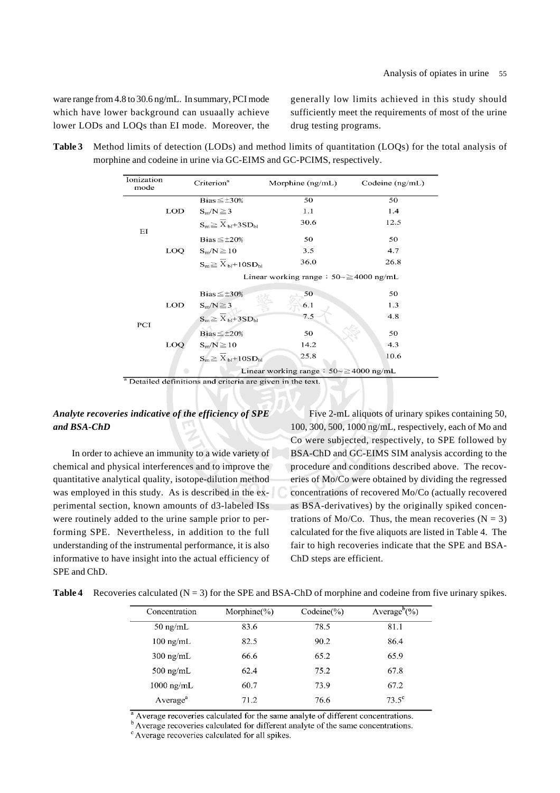ware range from 4.8 to 30.6 ng/mL. In summary, PCI mode which have lower background can usuaally achieve lower LODs and LOQs than EI mode. Moreover, the generally low limits achieved in this study should sufficiently meet the requirements of most of the urine drug testing programs.

| Table 3 Method limits of detection (LODs) and method limits of quantitation (LOQs) for the total analysis of |
|--------------------------------------------------------------------------------------------------------------|
| morphine and codeine in urine via GC-EIMS and GC-PCIMS, respectively.                                        |

| Ionization<br>mode |     | Criterion <sup>a</sup>        | Morphine $(ng/mL)$                                  | Codeine $(ng/mL)$ |
|--------------------|-----|-------------------------------|-----------------------------------------------------|-------------------|
|                    |     | Bias $\leq \pm 30\%$          | 50                                                  | 50                |
|                    | LOD | $S_{\rm m}/N \geq 3$          | 1.1                                                 | 1.4               |
| EI                 |     | $S_m \geq X_{bl} + 3SD_{bl}$  | 30.6                                                | 12.5              |
|                    |     | Bias $\leq \pm 20\%$          | 50                                                  | 50                |
|                    | LOQ | $S_m/N \ge 10$                | 3.5                                                 | 4.7               |
|                    |     | $S_m \geq X_{bl} + 10SD_{bl}$ | 36.0                                                | 26.8              |
|                    |     |                               | Linear working range : $50 \approx \geq 4000$ ng/mL |                   |
|                    |     | Bias $\leq \pm 30\%$          | 50                                                  | 50                |
|                    | LOD | $S_m/N \geq 3$                | 6.1                                                 | 1.3               |
| PCI                |     | $S_m \geq X_{bl} + 3SD_{bl}$  | 7.5                                                 | 4.8               |
|                    |     | Bias $\leq \pm 20\%$          | 50                                                  | 50                |
|                    | LOO | $S_m/N \ge 10$                | 14.2                                                | 4.3               |
|                    |     | $S_m \geq X_{bl} + 10SD_{bl}$ | 25.8                                                | 10.6              |
|                    |     |                               | Linear working range : $50 \approx 4000$ ng/mL      |                   |

<sup>a</sup> Detailed definitions and criteria are given in the text.

### *Analyte recoveries indicative of the efficiency of SPE and BSA-ChD*

In order to achieve an immunity to a wide variety of chemical and physical interferences and to improve the quantitative analytical quality, isotope-dilution method was employed in this study. As is described in the experimental section, known amounts of d3-labeled ISs were routinely added to the urine sample prior to performing SPE. Nevertheless, in addition to the full understanding of the instrumental performance, it is also informative to have insight into the actual efficiency of SPE and ChD.

Five 2-mL aliquots of urinary spikes containing 50, 100, 300, 500, 1000 ng/mL, respectively, each of Mo and Co were subjected, respectively, to SPE followed by BSA-ChD and GC-EIMS SIM analysis according to the procedure and conditions described above. The recoveries of Mo/Co were obtained by dividing the regressed concentrations of recovered Mo/Co (actually recovered as BSA-derivatives) by the originally spiked concentrations of Mo/Co. Thus, the mean recoveries  $(N = 3)$ calculated for the five aliquots are listed in Table 4. The fair to high recoveries indicate that the SPE and BSA-ChD steps are efficient.

|  | <b>Table 4</b> Recoveries calculated $(N = 3)$ for the SPE and BSA-ChD of morphine and codeine from five urinary spikes. |  |  |  |  |  |  |
|--|--------------------------------------------------------------------------------------------------------------------------|--|--|--|--|--|--|
|--|--------------------------------------------------------------------------------------------------------------------------|--|--|--|--|--|--|

| Concentration        | Morphine $(\%)$ | $Codeine(\%)$ | Average <sup>b</sup> $(\% )$ |
|----------------------|-----------------|---------------|------------------------------|
| $50 \text{ ng/mL}$   | 83.6            | 78.5          | 81.1                         |
| $100$ ng/mL          | 82.5            | 90.2          | 86.4                         |
| $300 \text{ ng/mL}$  | 66.6            | 65.2          | 65.9                         |
| $500$ ng/mL          | 62.4            | 75.2          | 67.8                         |
| $1000 \text{ ng/mL}$ | 60.7            | 73.9          | 67.2                         |
| Average <sup>a</sup> | 71.2            | 76.6          | $73.5^\circ$                 |
|                      |                 |               |                              |

<sup>a</sup> Average recoveries calculated for the same analyte of different concentrations.

<sup>b</sup> Average recoveries calculated for different analyte of the same concentrations.

<sup>c</sup> Average recoveries calculated for all spikes.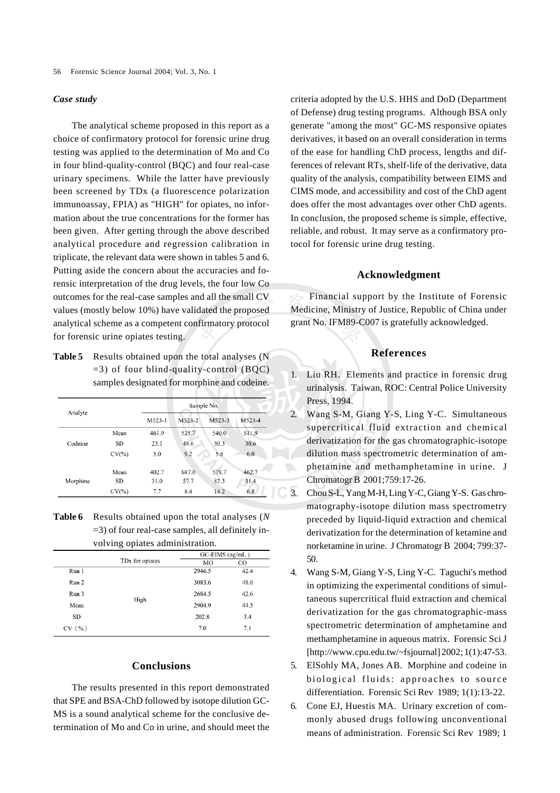#### *Case study*

The analytical scheme proposed in this report as a choice of confirmatory protocol for forensic urine drug testing was applied to the determination of Mo and Co in four blind-quality-control (BQC) and four real-case urinary specimens. While the latter have previously been screened by TDx (a fluorescence polarization immunoassay, FPIA) as "HIGH" for opiates, no information about the true concentrations for the former has been given. After getting through the above described analytical procedure and regression calibration in triplicate, the relevant data were shown in tables 5 and 6. Putting aside the concern about the accuracies and forensic interpretation of the drug levels, the four low Co outcomes for the real-case samples and all the small CV values (mostly below 10%) have validated the proposed analytical scheme as a competent confirmatory protocol for forensic urine opiates testing.

**Table 5** Results obtained upon the total analyses (N  $=$  3) of four blind-quality-control (BQC) samples designated for morphine and codeine.

| Analyte  |           |          |        | Sample No. |        |
|----------|-----------|----------|--------|------------|--------|
|          |           | $M523-1$ | M523-2 | M523-3     | M523-4 |
|          | Mean      | 461.9    | 525.7  | 540.0      | 511.9  |
| Codeine  | SD        | 23.1     | 48.6   | 30.3       | 30.6   |
|          | $CV(\% )$ | 5.0      | 9.2    | 5.6        | 6.0    |
|          | Mean      | 402.7    | 687.0  | 578.7      | 462.7  |
| Morphine | <b>SD</b> | 31.0     | 57.7   | 82.3       | 31.4   |
|          | $CV(\% )$ | 7.7      | 8.4    | 14.2       | 6.8    |

**Table 6** Results obtained upon the total analyses (*N* =3) of four real-case samples, all definitely involving opiates administration.

|           |                             | $GC-EIMS$ (ng/mL) |      |  |
|-----------|-----------------------------|-------------------|------|--|
|           | TD <sub>x</sub> for opiates | MО                | CO   |  |
| Run 1     |                             | 2946.5            | 42.4 |  |
| Run 2     |                             | 3083.6            | 48.0 |  |
| Run 3     |                             | 2684.5            | 42.6 |  |
| Mean      | High                        | 2904.9            | 44.3 |  |
| <b>SD</b> |                             | 202.8             | 3.4  |  |
| CV(%)     |                             | 7.0               | 7.1  |  |

### **Conclusions**

The results presented in this report demonstrated that SPE and BSA-ChD followed by isotope dilution GC-MS is a sound analytical scheme for the conclusive determination of Mo and Co in urine, and should meet the criteria adopted by the U.S. HHS and DoD (Department of Defense) drug testing programs. Although BSA only generate "among the most" GC-MS responsive opiates derivatives, it based on an overall consideration in terms of the ease for handling ChD process, lengths and differences of relevant RTs, shelf-life of the derivative, data quality of the analysis, compatibility between EIMS and CIMS mode, and accessibility and cost of the ChD agent does offer the most advantages over other ChD agents. In conclusion, the proposed scheme is simple, effective, reliable, and robust. It may serve as a confirmatory protocol for forensic urine drug testing.

### **Acknowledgment**

Financial support by the Institute of Forensic Medicine, Ministry of Justice, Republic of China under grant No. IFM89-C007 is gratefully acknowledged.

#### **References**

- 1. Liu RH. Elements and practice in forensic drug urinalysis. Taiwan, ROC: Central Police University Press, 1994.
- 2. Wang S-M, Giang Y-S, Ling Y-C. Simultaneous supercritical fluid extraction and chemical derivatization for the gas chromatographic-isotope dilution mass spectrometric determination of amphetamine and methamphetamine in urine. J Chromatogr B 2001;759:17-26.
- 3. Chou S-L, Yang M-H, Ling Y-C, Giang Y-S. Gas chromatography-isotope dilution mass spectrometry preceded by liquid-liquid extraction and chemical derivatization for the determination of ketamine and norketamine in urine. J Chromatogr B 2004; 799:37- 50.
	- 4. Wang S-M, Giang Y-S, Ling Y-C. Taguchi's method in optimizing the experimental conditions of simultaneous supercritical fluid extraction and chemical derivatization for the gas chromatographic-mass spectrometric determination of amphetamine and methamphetamine in aqueous matrix. Forensic Sci J [http://www.cpu.edu.tw/~fsjournal] 2002; 1(1):47-53.
	- 5. ElSohly MA, Jones AB. Morphine and codeine in biological fluids: approaches to source differentiation. Forensic Sci Rev 1989; 1(1):13-22.
	- 6. Cone EJ, Huestis MA. Urinary excretion of commonly abused drugs following unconventional means of administration. Forensic Sci Rev 1989; 1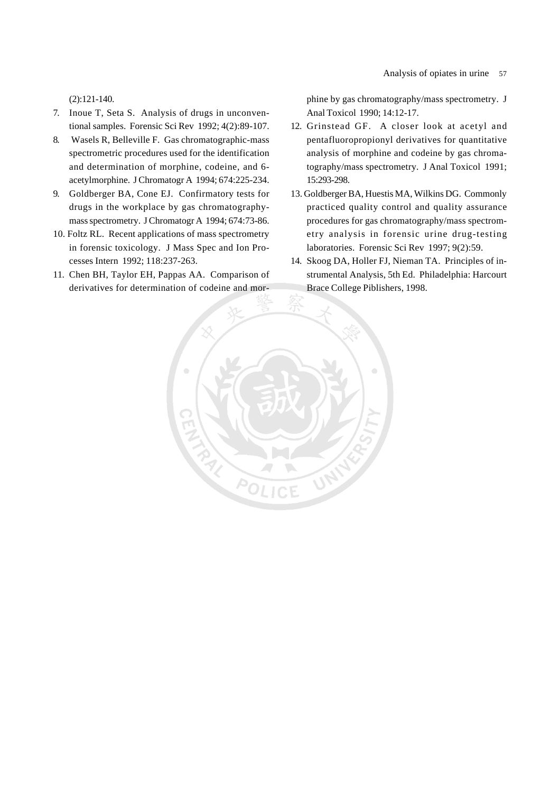(2):121-140.

- 7. Inoue T, Seta S. Analysis of drugs in unconventional samples. Forensic Sci Rev 1992; 4(2):89-107.
- 8. Wasels R, Belleville F. Gas chromatographic-mass spectrometric procedures used for the identification and determination of morphine, codeine, and 6 acetylmorphine. J Chromatogr A 1994; 674:225-234.
- 9. Goldberger BA, Cone EJ. Confirmatory tests for drugs in the workplace by gas chromatographymass spectrometry. J Chromatogr A 1994; 674:73-86.
- 10. Foltz RL. Recent applications of mass spectrometry in forensic toxicology. J Mass Spec and Ion Processes Intern 1992; 118:237-263.
- 11. Chen BH, Taylor EH, Pappas AA. Comparison of derivatives for determination of codeine and mor-

 $\widehat{\rho_\ell}$ 

phine by gas chromatography/mass spectrometry. J Anal Toxicol 1990; 14:12-17.

- 12. Grinstead GF. A closer look at acetyl and pentafluoropropionyl derivatives for quantitative analysis of morphine and codeine by gas chromatography/mass spectrometry. J Anal Toxicol 1991; 15:293-298.
- 13. Goldberger BA, Huestis MA, Wilkins DG. Commonly practiced quality control and quality assurance procedures for gas chromatography/mass spectrometry analysis in forensic urine drug-testing laboratories. Forensic Sci Rev 1997; 9(2):59.
- 14. Skoog DA, Holler FJ, Nieman TA. Principles of instrumental Analysis, 5th Ed. Philadelphia: Harcourt Brace College Piblishers, 1998.索